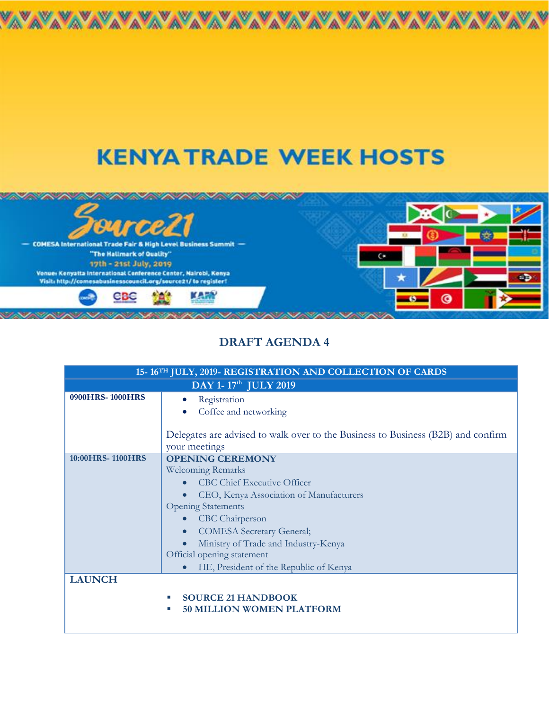## **KENYATRADE WEEK HOSTS**

A



## **DRAFT AGENDA 4**

| 15-16TH JULY, 2019-REGISTRATION AND COLLECTION OF CARDS |                                                                                  |
|---------------------------------------------------------|----------------------------------------------------------------------------------|
| DAY 1-17 <sup>th</sup> JULY 2019                        |                                                                                  |
| 0900HRS-1000HRS                                         | Registration                                                                     |
|                                                         | Coffee and networking                                                            |
|                                                         |                                                                                  |
|                                                         | Delegates are advised to walk over to the Business to Business (B2B) and confirm |
|                                                         | your meetings                                                                    |
| 10:00 HRS-1100 HRS                                      | <b>OPENING CEREMONY</b>                                                          |
|                                                         | <b>Welcoming Remarks</b>                                                         |
|                                                         | <b>CBC Chief Executive Officer</b>                                               |
|                                                         | CEO, Kenya Association of Manufacturers                                          |
|                                                         | <b>Opening Statements</b>                                                        |
|                                                         | CBC Chairperson                                                                  |
|                                                         | <b>COMESA</b> Secretary General;<br>$\bullet$                                    |
|                                                         | Ministry of Trade and Industry-Kenya                                             |
|                                                         | Official opening statement                                                       |
|                                                         | HE, President of the Republic of Kenya                                           |
| <b>LAUNCH</b>                                           |                                                                                  |
|                                                         | <b>SOURCE 21 HANDBOOK</b>                                                        |
|                                                         | <b>50 MILLION WOMEN PLATFORM</b><br>$\mathcal{L}_{\mathcal{A}}$                  |
|                                                         |                                                                                  |
|                                                         |                                                                                  |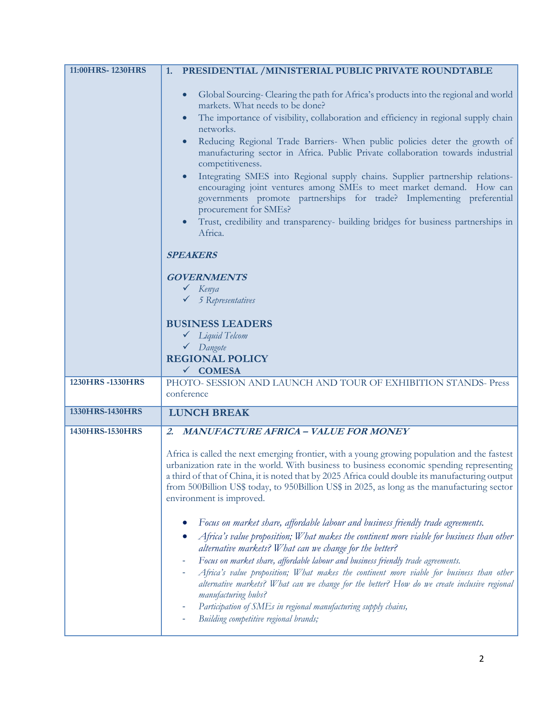| 11:00HRS-1230HRS | PRESIDENTIAL /MINISTERIAL PUBLIC PRIVATE ROUNDTABLE<br>1.                                                                                                                                                                                                                                                                                                                                                                                                                                                                                                                                                                                                                                                                                                                                      |
|------------------|------------------------------------------------------------------------------------------------------------------------------------------------------------------------------------------------------------------------------------------------------------------------------------------------------------------------------------------------------------------------------------------------------------------------------------------------------------------------------------------------------------------------------------------------------------------------------------------------------------------------------------------------------------------------------------------------------------------------------------------------------------------------------------------------|
|                  | Global Sourcing-Clearing the path for Africa's products into the regional and world<br>markets. What needs to be done?<br>The importance of visibility, collaboration and efficiency in regional supply chain<br>networks.<br>Reducing Regional Trade Barriers- When public policies deter the growth of<br>manufacturing sector in Africa. Public Private collaboration towards industrial<br>competitiveness.<br>Integrating SMES into Regional supply chains. Supplier partnership relations-<br>encouraging joint ventures among SMEs to meet market demand. How can<br>governments promote partnerships for trade? Implementing preferential<br>procurement for SMEs?<br>Trust, credibility and transparency- building bridges for business partnerships in<br>Africa.<br><b>SPEAKERS</b> |
|                  |                                                                                                                                                                                                                                                                                                                                                                                                                                                                                                                                                                                                                                                                                                                                                                                                |
|                  | <b>GOVERNMENTS</b><br>$\checkmark$ Kenya                                                                                                                                                                                                                                                                                                                                                                                                                                                                                                                                                                                                                                                                                                                                                       |
|                  | $\checkmark$ 5 Representatives                                                                                                                                                                                                                                                                                                                                                                                                                                                                                                                                                                                                                                                                                                                                                                 |
|                  | <b>BUSINESS LEADERS</b>                                                                                                                                                                                                                                                                                                                                                                                                                                                                                                                                                                                                                                                                                                                                                                        |
|                  | $\checkmark$ Liquid Telcom                                                                                                                                                                                                                                                                                                                                                                                                                                                                                                                                                                                                                                                                                                                                                                     |
|                  | $\checkmark$ Dangote<br><b>REGIONAL POLICY</b>                                                                                                                                                                                                                                                                                                                                                                                                                                                                                                                                                                                                                                                                                                                                                 |
|                  | V COMESA                                                                                                                                                                                                                                                                                                                                                                                                                                                                                                                                                                                                                                                                                                                                                                                       |
| 1230HRS-1330HRS  | PHOTO- SESSION AND LAUNCH AND TOUR OF EXHIBITION STANDS- Press<br>conference                                                                                                                                                                                                                                                                                                                                                                                                                                                                                                                                                                                                                                                                                                                   |
| 1330HRS-1430HRS  | <b>LUNCH BREAK</b>                                                                                                                                                                                                                                                                                                                                                                                                                                                                                                                                                                                                                                                                                                                                                                             |
| 1430HRS-1530HRS  | 2. MANUFACTURE AFRICA - VALUE FOR MONEY                                                                                                                                                                                                                                                                                                                                                                                                                                                                                                                                                                                                                                                                                                                                                        |
|                  | Africa is called the next emerging frontier, with a young growing population and the fastest<br>urbanization rate in the world. With business to business economic spending representing<br>a third of that of China, it is noted that by 2025 Africa could double its manufacturing output<br>from 500Billion US\$ today, to 950Billion US\$ in 2025, as long as the manufacturing sector<br>environment is improved.                                                                                                                                                                                                                                                                                                                                                                         |
|                  | Focus on market share, affordable labour and business friendly trade agreements.<br>Africa's value proposition; What makes the continent more viable for business than other<br>alternative markets? What can we change for the better?<br>Focus on market share, affordable labour and business friendly trade agreements.<br>÷<br>Africa's value proposition; What makes the continent more viable for business than other<br>alternative markets? What can we change for the better? How do we create inclusive regional<br>manufacturing hubs?<br>Participation of SMEs in regional manufacturing supply chains,                                                                                                                                                                           |
|                  | Building competitive regional brands;                                                                                                                                                                                                                                                                                                                                                                                                                                                                                                                                                                                                                                                                                                                                                          |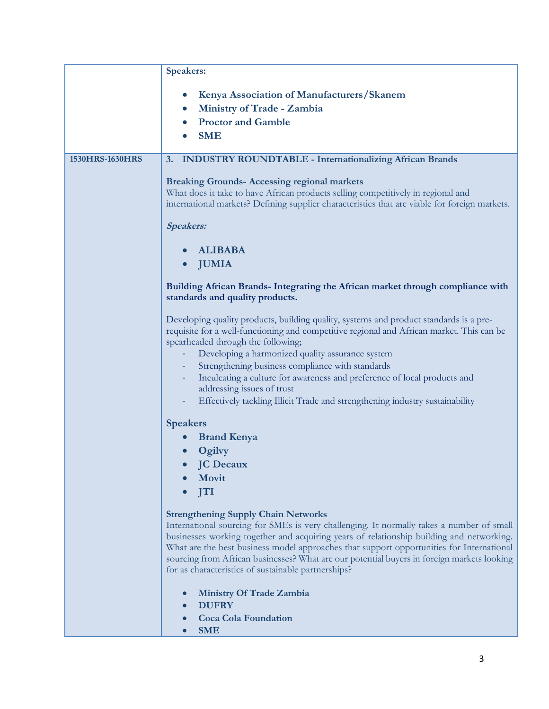|                 | <b>Speakers:</b>                                                                                                                                                                                                                                                                                                                                                                                                                                                                    |
|-----------------|-------------------------------------------------------------------------------------------------------------------------------------------------------------------------------------------------------------------------------------------------------------------------------------------------------------------------------------------------------------------------------------------------------------------------------------------------------------------------------------|
|                 | Kenya Association of Manufacturers/Skanem<br>Ministry of Trade - Zambia<br><b>Proctor and Gamble</b><br><b>SME</b>                                                                                                                                                                                                                                                                                                                                                                  |
| 1530HRS-1630HRS | <b>INDUSTRY ROUNDTABLE - Internationalizing African Brands</b><br>3.                                                                                                                                                                                                                                                                                                                                                                                                                |
|                 | <b>Breaking Grounds-Accessing regional markets</b><br>What does it take to have African products selling competitively in regional and<br>international markets? Defining supplier characteristics that are viable for foreign markets.<br><b>Speakers:</b>                                                                                                                                                                                                                         |
|                 | <b>ALIBABA</b><br><b>JUMIA</b>                                                                                                                                                                                                                                                                                                                                                                                                                                                      |
|                 | Building African Brands- Integrating the African market through compliance with<br>standards and quality products.                                                                                                                                                                                                                                                                                                                                                                  |
|                 | Developing quality products, building quality, systems and product standards is a pre-<br>requisite for a well-functioning and competitive regional and African market. This can be<br>spearheaded through the following;                                                                                                                                                                                                                                                           |
|                 | Developing a harmonized quality assurance system<br>Strengthening business compliance with standards                                                                                                                                                                                                                                                                                                                                                                                |
|                 | Inculcating a culture for awareness and preference of local products and<br>addressing issues of trust                                                                                                                                                                                                                                                                                                                                                                              |
|                 | Effectively tackling Illicit Trade and strengthening industry sustainability                                                                                                                                                                                                                                                                                                                                                                                                        |
|                 | <b>Speakers</b>                                                                                                                                                                                                                                                                                                                                                                                                                                                                     |
|                 | <b>Brand Kenya</b><br>Ogilvy                                                                                                                                                                                                                                                                                                                                                                                                                                                        |
|                 | • JC Decaux                                                                                                                                                                                                                                                                                                                                                                                                                                                                         |
|                 | Movit                                                                                                                                                                                                                                                                                                                                                                                                                                                                               |
|                 | <b>ITI</b>                                                                                                                                                                                                                                                                                                                                                                                                                                                                          |
|                 | <b>Strengthening Supply Chain Networks</b><br>International sourcing for SMEs is very challenging. It normally takes a number of small<br>businesses working together and acquiring years of relationship building and networking.<br>What are the best business model approaches that support opportunities for International<br>sourcing from African businesses? What are our potential buyers in foreign markets looking<br>for as characteristics of sustainable partnerships? |
|                 | <b>Ministry Of Trade Zambia</b><br><b>DUFRY</b>                                                                                                                                                                                                                                                                                                                                                                                                                                     |
|                 | <b>Coca Cola Foundation</b>                                                                                                                                                                                                                                                                                                                                                                                                                                                         |
|                 | <b>SME</b>                                                                                                                                                                                                                                                                                                                                                                                                                                                                          |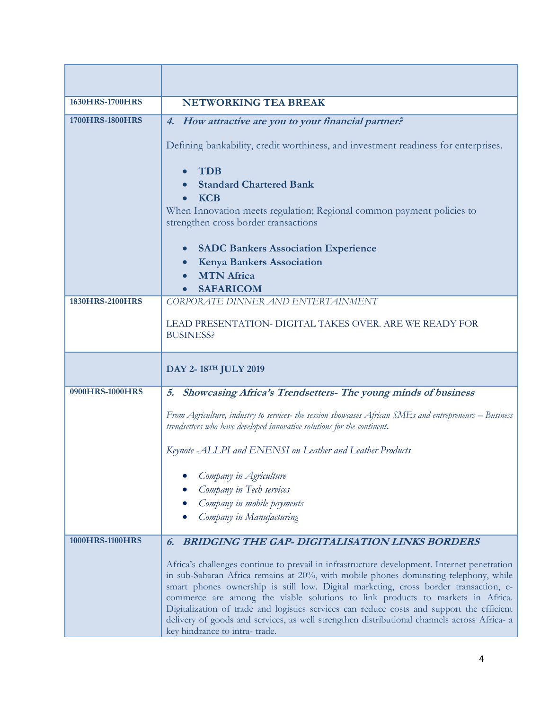| 1630HRS-1700HRS | <b>NETWORKING TEA BREAK</b>                                                                                                                                                                                                                                                                                                                                                                                                                                                                                                                                                                |
|-----------------|--------------------------------------------------------------------------------------------------------------------------------------------------------------------------------------------------------------------------------------------------------------------------------------------------------------------------------------------------------------------------------------------------------------------------------------------------------------------------------------------------------------------------------------------------------------------------------------------|
| 1700HRS-1800HRS | 4. How attractive are you to your financial partner?                                                                                                                                                                                                                                                                                                                                                                                                                                                                                                                                       |
|                 | Defining bankability, credit worthiness, and investment readiness for enterprises.                                                                                                                                                                                                                                                                                                                                                                                                                                                                                                         |
|                 | <b>TDB</b>                                                                                                                                                                                                                                                                                                                                                                                                                                                                                                                                                                                 |
|                 | <b>Standard Chartered Bank</b>                                                                                                                                                                                                                                                                                                                                                                                                                                                                                                                                                             |
|                 | <b>KCB</b><br>When Innovation meets regulation; Regional common payment policies to<br>strengthen cross border transactions                                                                                                                                                                                                                                                                                                                                                                                                                                                                |
|                 | <b>SADC Bankers Association Experience</b><br><b>Kenya Bankers Association</b>                                                                                                                                                                                                                                                                                                                                                                                                                                                                                                             |
|                 | <b>MTN</b> Africa                                                                                                                                                                                                                                                                                                                                                                                                                                                                                                                                                                          |
|                 | <b>SAFARICOM</b>                                                                                                                                                                                                                                                                                                                                                                                                                                                                                                                                                                           |
| 1830HRS-2100HRS | CORPORATE DINNER AND ENTERTAINMENT                                                                                                                                                                                                                                                                                                                                                                                                                                                                                                                                                         |
|                 | LEAD PRESENTATION- DIGITAL TAKES OVER. ARE WE READY FOR<br><b>BUSINESS?</b>                                                                                                                                                                                                                                                                                                                                                                                                                                                                                                                |
|                 | DAY 2-18TH JULY 2019                                                                                                                                                                                                                                                                                                                                                                                                                                                                                                                                                                       |
| 0900HRS-1000HRS | Showcasing Africa's Trendsetters- The young minds of business<br>5.                                                                                                                                                                                                                                                                                                                                                                                                                                                                                                                        |
|                 | From Agriculture, industry to services-the session showcases African SMEs and entrepreneurs – Business<br>trendsetters who have developed innovative solutions for the continent.                                                                                                                                                                                                                                                                                                                                                                                                          |
|                 | Keynote -ALLPI and ENENSI on Leather and Leather Products                                                                                                                                                                                                                                                                                                                                                                                                                                                                                                                                  |
|                 | Company in Agriculture                                                                                                                                                                                                                                                                                                                                                                                                                                                                                                                                                                     |
|                 | Company in Tech services                                                                                                                                                                                                                                                                                                                                                                                                                                                                                                                                                                   |
|                 | Company in mobile payments<br>Company in Manufacturing                                                                                                                                                                                                                                                                                                                                                                                                                                                                                                                                     |
|                 |                                                                                                                                                                                                                                                                                                                                                                                                                                                                                                                                                                                            |
| 1000HRS-1100HRS | <b>6. BRIDGING THE GAP- DIGITALISATION LINKS BORDERS</b>                                                                                                                                                                                                                                                                                                                                                                                                                                                                                                                                   |
|                 | Africa's challenges continue to prevail in infrastructure development. Internet penetration<br>in sub-Saharan Africa remains at 20%, with mobile phones dominating telephony, while<br>smart phones ownership is still low. Digital marketing, cross border transaction, e-<br>commerce are among the viable solutions to link products to markets in Africa.<br>Digitalization of trade and logistics services can reduce costs and support the efficient<br>delivery of goods and services, as well strengthen distributional channels across Africa- a<br>key hindrance to intra-trade. |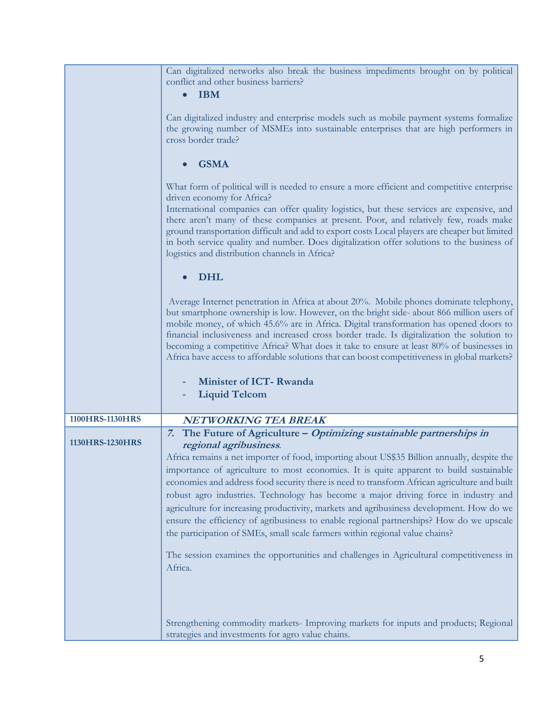|                 | Can digitalized networks also break the business impediments brought on by political<br>conflict and other business barriers?<br><b>IBM</b><br>$\bullet$                                                                                                                                                                                                                                                                                                                                                                                                                                                                                                                       |
|-----------------|--------------------------------------------------------------------------------------------------------------------------------------------------------------------------------------------------------------------------------------------------------------------------------------------------------------------------------------------------------------------------------------------------------------------------------------------------------------------------------------------------------------------------------------------------------------------------------------------------------------------------------------------------------------------------------|
|                 | Can digitalized industry and enterprise models such as mobile payment systems formalize<br>the growing number of MSMEs into sustainable enterprises that are high performers in<br>cross border trade?                                                                                                                                                                                                                                                                                                                                                                                                                                                                         |
|                 | <b>GSMA</b>                                                                                                                                                                                                                                                                                                                                                                                                                                                                                                                                                                                                                                                                    |
|                 | What form of political will is needed to ensure a more efficient and competitive enterprise<br>driven economy for Africa?                                                                                                                                                                                                                                                                                                                                                                                                                                                                                                                                                      |
|                 | International companies can offer quality logistics, but these services are expensive, and<br>there aren't many of these companies at present. Poor, and relatively few, roads make<br>ground transportation difficult and add to export costs Local players are cheaper but limited<br>in both service quality and number. Does digitalization offer solutions to the business of<br>logistics and distribution channels in Africa?                                                                                                                                                                                                                                           |
|                 | <b>DHL</b>                                                                                                                                                                                                                                                                                                                                                                                                                                                                                                                                                                                                                                                                     |
|                 | Average Internet penetration in Africa at about 20%. Mobile phones dominate telephony,<br>but smartphone ownership is low. However, on the bright side- about 866 million users of<br>mobile money, of which 45.6% are in Africa. Digital transformation has opened doors to<br>financial inclusiveness and increased cross border trade. Is digitalization the solution to<br>becoming a competitive Africa? What does it take to ensure at least 80% of businesses in<br>Africa have access to affordable solutions that can boost competitiveness in global markets?                                                                                                        |
|                 | Minister of ICT-Rwanda<br><b>Liquid Telcom</b>                                                                                                                                                                                                                                                                                                                                                                                                                                                                                                                                                                                                                                 |
| 1100HRS-1130HRS | <b>NETWORKING TEA BREAK</b>                                                                                                                                                                                                                                                                                                                                                                                                                                                                                                                                                                                                                                                    |
|                 | 7. The Future of Agriculture - Optimizing sustainable partnerships in                                                                                                                                                                                                                                                                                                                                                                                                                                                                                                                                                                                                          |
| 1130HRS-1230HRS | regional agribusiness.<br>Africa remains a net importer of food, importing about US\$35 Billion annually, despite the<br>importance of agriculture to most economies. It is quite apparent to build sustainable<br>economies and address food security there is need to transform African agriculture and built<br>robust agro industries. Technology has become a major driving force in industry and<br>agriculture for increasing productivity, markets and agribusiness development. How do we<br>ensure the efficiency of agribusiness to enable regional partnerships? How do we upscale<br>the participation of SMEs, small scale farmers within regional value chains? |
|                 | The session examines the opportunities and challenges in Agricultural competitiveness in<br>Africa.                                                                                                                                                                                                                                                                                                                                                                                                                                                                                                                                                                            |
|                 | Strengthening commodity markets- Improving markets for inputs and products; Regional<br>strategies and investments for agro value chains.                                                                                                                                                                                                                                                                                                                                                                                                                                                                                                                                      |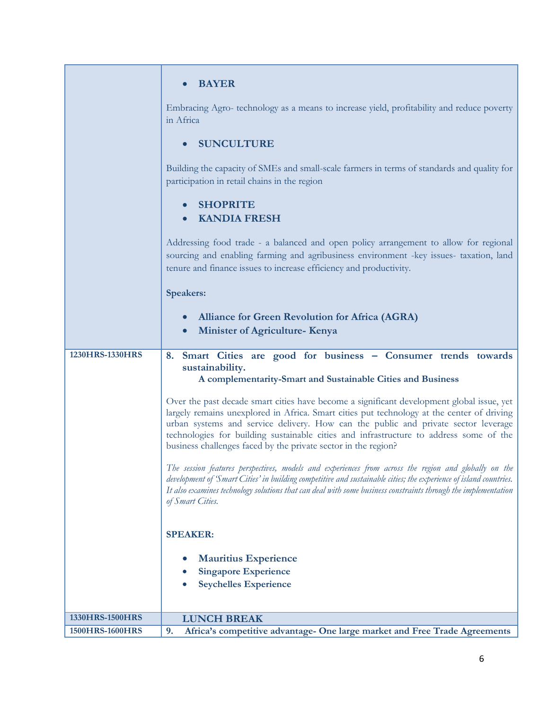|                 | <b>BAYER</b>                                                                                                                                                                                                                                                                                                                                                                                                                              |
|-----------------|-------------------------------------------------------------------------------------------------------------------------------------------------------------------------------------------------------------------------------------------------------------------------------------------------------------------------------------------------------------------------------------------------------------------------------------------|
|                 | Embracing Agro- technology as a means to increase yield, profitability and reduce poverty<br>in Africa                                                                                                                                                                                                                                                                                                                                    |
|                 | <b>SUNCULTURE</b>                                                                                                                                                                                                                                                                                                                                                                                                                         |
|                 | Building the capacity of SMEs and small-scale farmers in terms of standards and quality for<br>participation in retail chains in the region                                                                                                                                                                                                                                                                                               |
|                 | <b>SHOPRITE</b><br><b>KANDIA FRESH</b>                                                                                                                                                                                                                                                                                                                                                                                                    |
|                 | Addressing food trade - a balanced and open policy arrangement to allow for regional<br>sourcing and enabling farming and agribusiness environment -key issues- taxation, land<br>tenure and finance issues to increase efficiency and productivity.                                                                                                                                                                                      |
|                 | <b>Speakers:</b>                                                                                                                                                                                                                                                                                                                                                                                                                          |
|                 | <b>Alliance for Green Revolution for Africa (AGRA)</b><br><b>Minister of Agriculture- Kenya</b>                                                                                                                                                                                                                                                                                                                                           |
| 1230HRS-1330HRS | 8. Smart Cities are good for business - Consumer trends towards<br>sustainability.                                                                                                                                                                                                                                                                                                                                                        |
|                 | A complementarity-Smart and Sustainable Cities and Business                                                                                                                                                                                                                                                                                                                                                                               |
|                 | Over the past decade smart cities have become a significant development global issue, yet<br>largely remains unexplored in Africa. Smart cities put technology at the center of driving<br>urban systems and service delivery. How can the public and private sector leverage<br>technologies for building sustainable cities and infrastructure to address some of the<br>business challenges faced by the private sector in the region? |
|                 | The session features perspectives, models and experiences from across the region and globally on the<br>development of 'Smart Cities' in building competitive and sustainable cities; the experience of island countries.<br>It also examines technology solutions that can deal with some business constraints through the implementation<br>of Smart Cities.                                                                            |
|                 | <b>SPEAKER:</b>                                                                                                                                                                                                                                                                                                                                                                                                                           |
|                 | <b>Mauritius Experience</b>                                                                                                                                                                                                                                                                                                                                                                                                               |
|                 | <b>Singapore Experience</b><br><b>Seychelles Experience</b>                                                                                                                                                                                                                                                                                                                                                                               |
|                 |                                                                                                                                                                                                                                                                                                                                                                                                                                           |
| 1330HRS-1500HRS | <b>LUNCH BREAK</b>                                                                                                                                                                                                                                                                                                                                                                                                                        |
| 1500HRS-1600HRS | Africa's competitive advantage- One large market and Free Trade Agreements<br>9.                                                                                                                                                                                                                                                                                                                                                          |